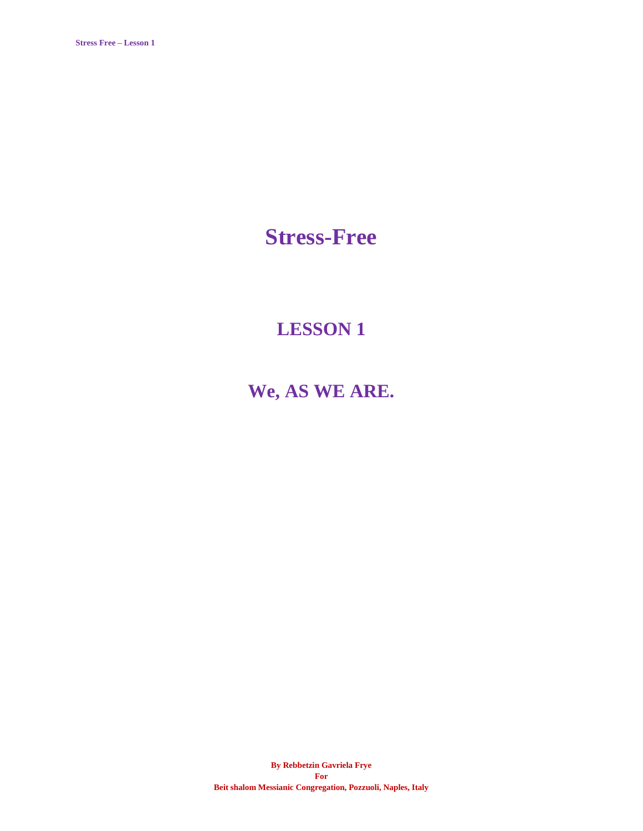**Stress-Free** 

# **LESSON1**

# We, AS WE ARE.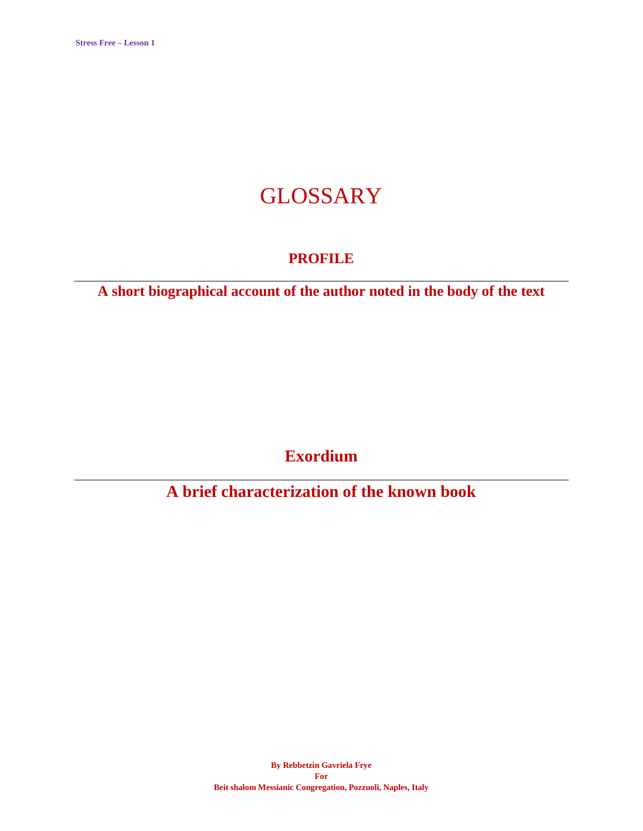# GLOSSARY

# **PROFILE**

**A short biographical account of the author noted in the body of the text**

**Exordium**

**A brief characterization of the known book**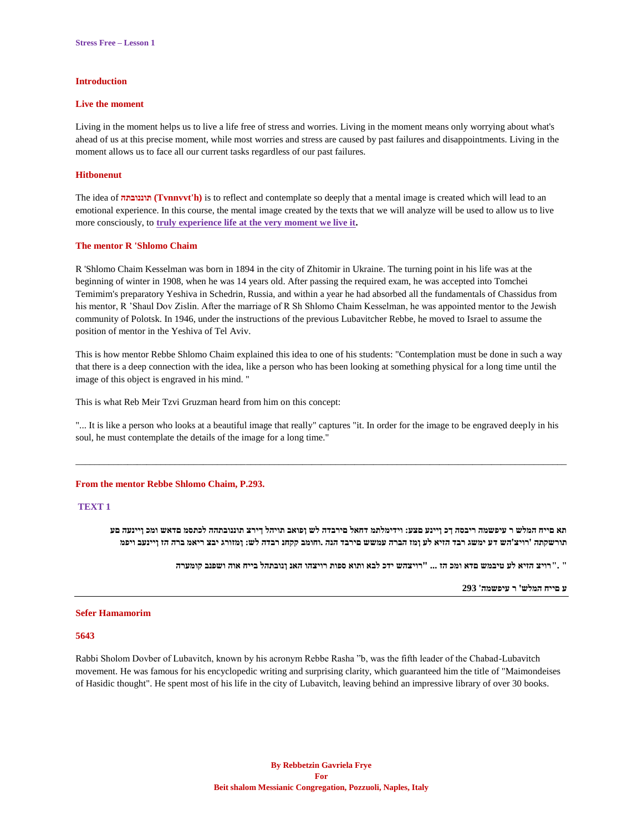## **Introduction**

#### **Live the moment**

Living in the moment helps us to live a life free of stress and worries. Living in the moment means only worrying about what's ahead of us at this precise moment, while most worries and stress are caused by past failures and disappointments. Living in the moment allows us to face all our current tasks regardless of our past failures.

### **Hitbonenut**

The idea of **תוננובתה) Tvnnvvt'h)** is to reflect and contemplate so deeply that a mental image is created which will lead to an emotional experience. In this course, the mental image created by the texts that we will analyze will be used to allow us to live more consciously, to **[truly experience life at the very moment we live it.](https://www.biblegateway.com/passage/?search=Matthew+6%3A25-34&version=NKJV)**

## **The mentor R 'Shlomo Chaim**

R 'Shlomo Chaim Kesselman was born in 1894 in the city of Zhitomir in Ukraine. The turning point in his life was at the beginning of winter in 1908, when he was 14 years old. After passing the required exam, he was accepted into Tomchei Temimim's preparatory Yeshiva in Schedrin, Russia, and within a year he had absorbed all the fundamentals of Chassidus from his mentor, R 'Shaul Dov Zislin. After the marriage of R Sh Shlomo Chaim Kesselman, he was appointed mentor to the Jewish community of Polotsk. In 1946, under the instructions of the previous Lubavitcher Rebbe, he moved to Israel to assume the position of mentor in the Yeshiva of Tel Aviv.

This is how mentor Rebbe Shlomo Chaim explained this idea to one of his students: "Contemplation must be done in such a way that there is a deep connection with the idea, like a person who has been looking at something physical for a long time until the image of this object is engraved in his mind. "

This is what Reb Meir Tzvi Gruzman heard from him on this concept:

"... It is like a person who looks at a beautiful image that really" captures "it. In order for the image to be engraved deeply in his soul, he must contemplate the details of the image for a long time."

\_\_\_\_\_\_\_\_\_\_\_\_\_\_\_\_\_\_\_\_\_\_\_\_\_\_\_\_\_\_\_\_\_\_\_\_\_\_\_\_\_\_\_\_\_\_\_\_\_\_\_\_\_\_\_\_\_\_\_\_\_\_\_\_\_\_\_\_\_\_\_\_\_\_\_\_\_\_\_\_\_\_\_\_\_\_\_\_\_\_\_\_\_\_\_\_\_\_\_\_\_\_\_\_

#### **From the mentor Rebbe Shlomo Chaim, P.293.**

#### **TEXT 1**

**תא םייח המלש ר עיפשמה ריבסה ךכ ןיינע םצע: וידימלתמ דחאל םירבדה לש ןפואב תויהל ךירצ תוננובתהה לכתסמ םדאש ומכ ןיינעה םע תורשקתה 'רויצ'הש דע ימשג רבד הזיא לע ןמז הברה עמשש םירבד הנה .וחומב קקחנ רבדה לש: ןמזורג יבצ ריאמ ברה הז ןיינעב ויפמ**

**" ."רויצ הזיא לע טיבמש םדא ומכ הז ... "רויצהש ידכ לבא ותוא ספות רויצהו האנ ןנובתהל בייח אוה ושפנב קומערה**

**ע םייח המלש' ר עיפשמה' 293**

#### **Sefer Hamamorim**

#### **5643**

Rabbi Sholom Dovber of Lubavitch, known by his acronym Rebbe Rasha "b, was the fifth leader of the Chabad-Lubavitch movement. He was famous for his encyclopedic writing and surprising clarity, which guaranteed him the title of "Maimondeises of Hasidic thought". He spent most of his life in the city of Lubavitch, leaving behind an impressive library of over 30 books.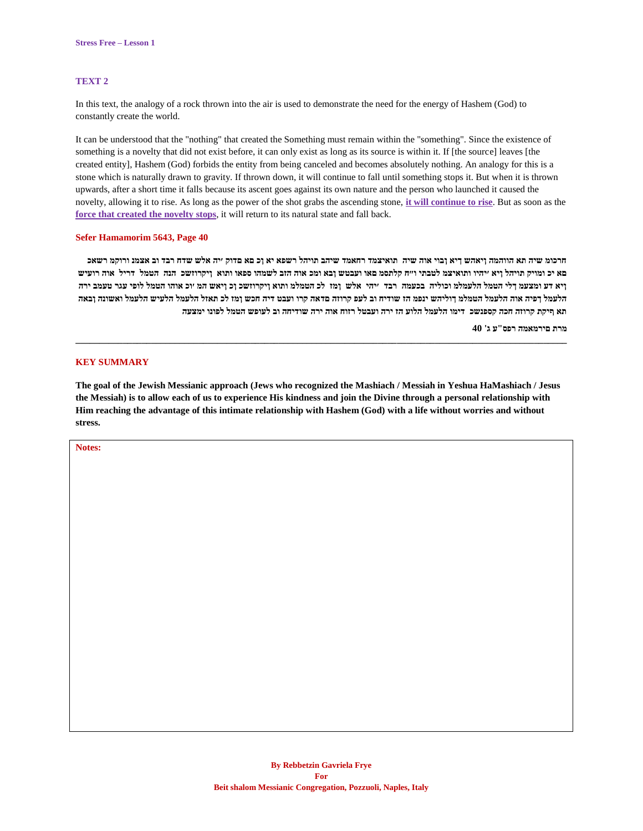# **TEXT 2**

In this text, the analogy of a rock thrown into the air is used to demonstrate the need for the energy of Hashem (God) to constantly create the world.

It can be understood that the "nothing" that created the Something must remain within the "something". Since the existence of something is a novelty that did not exist before, it can only exist as long as its source is within it. If [the source] leaves [the created entity], Hashem (God) forbids the entity from being canceled and becomes absolutely nothing. An analogy for this is a stone which is naturally drawn to gravity. If thrown down, it will continue to fall until something stops it. But when it is thrown upwards, after a short time it falls because its ascent goes against its own nature and the person who launched it caused the novelty, allowing it to rise. As long as the power of the shot grabs the ascending stone, **[it will continue to rise](https://www.biblegateway.com/passage/?search=1+Peter+2&version=KJV)**. But as soon as the **[force that created the novelty stops](https://www.biblegateway.com/passage/?search=1+Peter+2%3A4-10&version=NKJV)**, it will return to its natural state and fall back.

#### **Sefer Hamamorim 5643, Page 40**

**חרכומ שיה תא הווהמה ןיאהש ךיא ןבוי אוה שיה תואיצמד רחאמד שיהב תויהל רשפא יא ןכ םא םדוק ׳יה אלש שדח רבד וב אצמנ ורוקמ רשאכ םא יכ ומויק תויהל ןיא ׳יהיו ותואיצמ לטבתי ו״ח קלתסמ םאו ועבטש ןבא ומכ אוה הזב לשמהו ספאו ותוא ןיקרוזשכ הנה הטמל דריל אוה רועיש ןיא דע ומצעמ ךלי הטמל הלעמלמ וכוליה בכעמה רבד ׳יהי אלש ןמז לכ הטמלמ ותוא ןיקרוזשכ ןכ ןיאש המ ׳וכ אוהו הטמל לופי עגר טעמב ירה הלעמל ךפיה אוה הלעמל הטמלמ ךוליהש ינפמ הז שודיח וב לעפ קרוזה םדאה קרו ועבט דיה חכש ןמז לכ תאזל הלעמל הלעיש הלעמל ואשונה ןבאה תא ףיקת קרוזה חכה קספנשכ דימו הלעמל הלוע הז ירה ועבטל רזוח אוה ירה שודיחה וב לעופש הטמל לפונו ימצעה**

**\_\_\_\_\_\_\_\_\_\_\_\_\_\_\_\_\_\_\_\_\_\_\_\_\_\_\_\_\_\_\_\_\_\_\_\_\_\_\_\_\_\_\_\_\_\_\_\_\_\_\_\_\_\_\_\_\_\_\_\_\_\_\_\_\_\_\_\_\_\_\_\_\_\_\_\_\_\_\_\_\_\_\_\_\_\_\_\_\_\_\_\_\_\_\_\_\_\_\_\_\_\_\_\_**

**מרת םירמאמה רפס"ע ג' 40**

# **KEY SUMMARY**

**The goal of the Jewish Messianic approach (Jews who recognized the Mashiach / Messiah in Yeshua HaMashiach / Jesus the Messiah) is to allow each of us to experience His kindness and join the Divine through a personal relationship with Him reaching the advantage of this intimate relationship with Hashem (God) with a life without worries and without stress.**

**Notes:**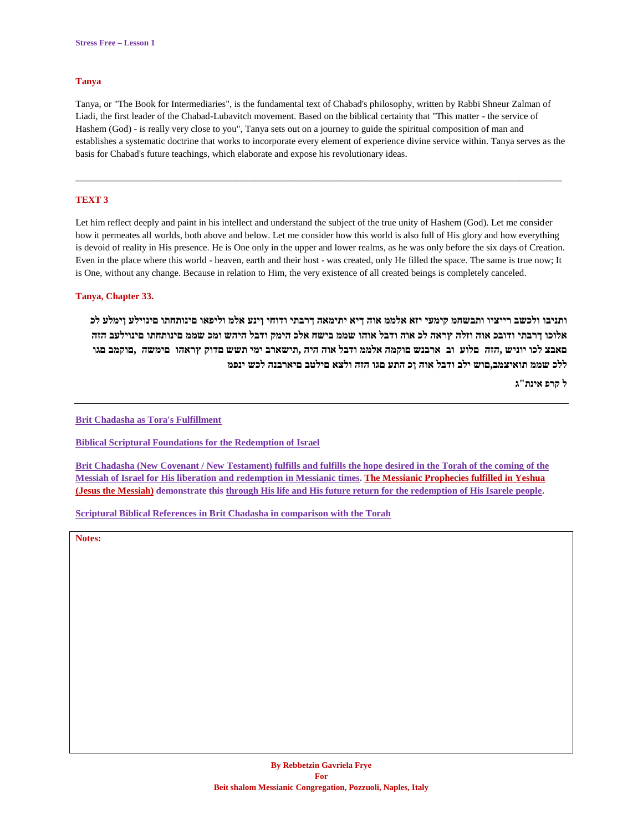# **Tanya**

Tanya, or "The Book for Intermediaries", is the fundamental text of Chabad's philosophy, written by Rabbi Shneur Zalman of Liadi, the first leader of the Chabad-Lubavitch movement. Based on the biblical certainty that "This matter - the service of Hashem (God) - is really very close to you", Tanya sets out on a journey to guide the spiritual composition of man and establishes a systematic doctrine that works to incorporate every element of experience divine service within. Tanya serves as the basis for Chabad's future teachings, which elaborate and expose his revolutionary ideas.

# **TEXT 3**

Let him reflect deeply and paint in his intellect and understand the subject of the true unity of Hashem (God). Let me consider how it permeates all worlds, both above and below. Let me consider how this world is also full of His glory and how everything is devoid of reality in His presence. He is One only in the upper and lower realms, as he was only before the six days of Creation. Even in the place where this world - heaven, earth and their host - was created, only He filled the space. The same is true now; It is One, without any change. Because in relation to Him, the very existence of all created beings is completely canceled.

### Tanya, Chapter 33.

ותניבו ולכשב רייציו ותבשחמ קימעי יזא אלממ אוה דיא יתימאה דרבתי ודוחי וינע אלמ וליפאו םינותחתו םינוילע וימלע לכ אלוכו ךרבתי ודובכ אוה וזלה ץראה לכ אוה ודבל אוהו שממ בישח אלכ הימק ודבל היהש ומכ שממ םינותחתו םינוילעב הזה םאבצ לכו יוניש ,הזה בלוע וב ארבנש םוקמה אלממ ודבל אוה היה ,תישארב ימי תשש םדוק ץראהו בימשה ,םוקמב םגו ללכ שממ תואיצמב,םוש ילב ודבל אוה ןכ התע םגו הזה ולצא םילטב םיארבנה לכש ינפמ

ל קרפ אינת"ג

# **Brit Chadasha as Tora's Fulfillment**

**Biblical Scriptural Foundations for the Redemption of Israel** 

Brit Chadasha (New Covenant / New Testament) fulfills and fulfills the hope desired in the Torah of the coming of the Messiah of Israel for His liberation and redemption in Messianic times. The Messianic Prophecies fulfilled in Yeshua (Jesus the Messiah) demonstrate this through His life and His future return for the redemption of His Isarele people.

**Scriptural Biblical References in Brit Chadasha in comparison with the Torah** 

Notes: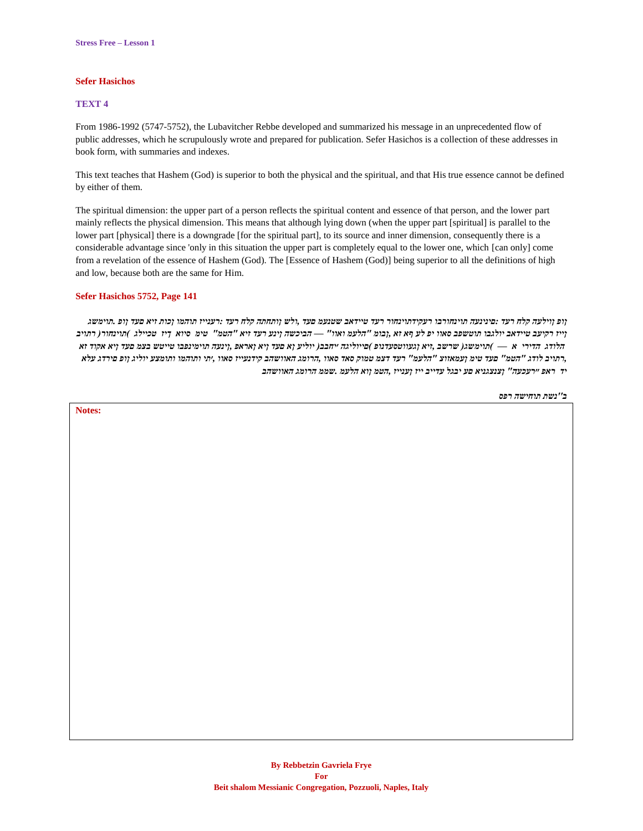## **Sefer Hasichos**

# **TEXT 4**

From 1986-1992 (5747-5752), the Lubavitcher Rebbe developed and summarized his message in an unprecedented flow of public addresses, which he scrupulously wrote and prepared for publication. Sefer Hasichos is a collection of these addresses in book form, with summaries and indexes.

This text teaches that Hashem (God) is superior to both the physical and the spiritual, and that His true essence cannot be defined by either of them.

The spiritual dimension: the upper part of a person reflects the spiritual content and essence of that person, and the lower part mainly reflects the physical dimension. This means that although lying down (when the upper part [spiritual] is parallel to the lower part [physical] there is a downgrade [for the spiritual part], to its source and inner dimension, consequently there is a considerable advantage since 'only in this situation the upper part is completely equal to the lower one, which [can only] come from a revelation of the essence of Hashem (God). The [Essence of Hashem (God)] being superior to all the definitions of high and low, because both are the same for Him.

### **Sefer Hasichos 5752, Page 141**

*ןופ ןוילעה קלח רעד :םינינעה תוינחורבו רעקידתוינחור רעד טיידאב שטנעמ םעד ,ולש ןותחתה קלח רעד :רענייז תוהמו ןכות זיא םעד ןופ .תוימשג ןייז רקיעב טיידאב יולגבו תוטשפב סאוו יפ לע ףא זא ,ןבומ "הלעמ ואוו" — הביכשה ןינע רעד זיא "הטמ" טימ סיוא ךיז טכיילג (תוינחור) רתויב הלודג הדירי א — (תוימשג) שרשב ,זיא ןגעווטסעדנופ (םייוליגה ׳יחבב) יוליע ןא םעד ןיא ןאראפ ,ןינעה תוימינפבו טייטש בצמ םעד ןיא אקוד זא ,רתויב לודג "הטמ" םעד טימ ןעמאזוצ "הלעמ" רעד דצמ טמוק סאד סאוו ,הרומג האוושהב קידנעייז סאוו ,׳תי ותוהמו ותומצע יוליג ןופ םירדג עלא יד ראפ ״רעכעה" ןצנצגניא םע יבגל עדייב ייז ןענייז ,הטמ ןוא הלעמ .שממ הרומג האוושהב*

*ב''נשת תוחישה רפס*

**Notes:**

**By Rebbetzin Gavriela Frye For Beit shalom Messianic Congregation, Pozzuoli, Naples, Italy**